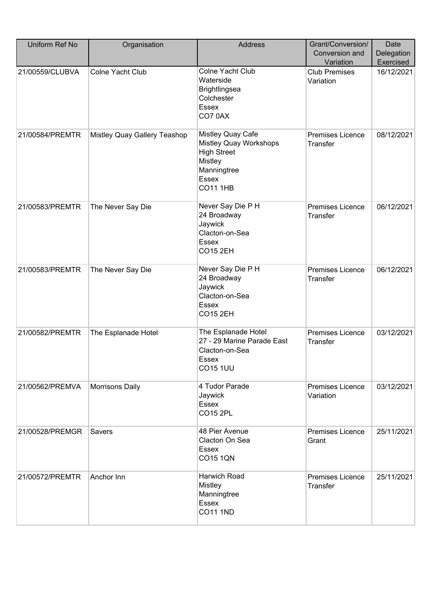| Uniform Ref No  | Organisation                 | <b>Address</b>                                                                                                                        | Grant/Conversion/<br>Conversion and<br>Variation | Date<br>Delegation<br>Exercised |
|-----------------|------------------------------|---------------------------------------------------------------------------------------------------------------------------------------|--------------------------------------------------|---------------------------------|
| 21/00559/CLUBVA | Colne Yacht Club             | Colne Yacht Club<br>Waterside<br><b>Brightlingsea</b><br>Colchester<br><b>Essex</b><br>CO70AX                                         | <b>Club Premises</b><br>Variation                | 16/12/2021                      |
| 21/00584/PREMTR | Mistley Quay Gallery Teashop | Mistley Quay Cafe<br><b>Mistley Quay Workshops</b><br><b>High Street</b><br>Mistley<br>Manningtree<br><b>Essex</b><br><b>CO11 1HB</b> | <b>Premises Licence</b><br>Transfer              | 08/12/2021                      |
| 21/00583/PREMTR | The Never Say Die            | Never Say Die P H<br>24 Broadway<br>Jaywick<br>Clacton-on-Sea<br>Essex<br><b>CO15 2EH</b>                                             | Premises Licence<br>Transfer                     | 06/12/2021                      |
| 21/00583/PREMTR | The Never Say Die            | Never Say Die P H<br>24 Broadway<br>Jaywick<br>Clacton-on-Sea<br><b>Essex</b><br><b>CO15 2EH</b>                                      | Premises Licence<br>Transfer                     | 06/12/2021                      |
| 21/00582/PREMTR | The Esplanade Hotel          | The Esplanade Hotel<br>27 - 29 Marine Parade East<br>Clacton-on-Sea<br>Essex<br><b>CO15 1UU</b>                                       | <b>Premises Licence</b><br>Transfer              | 03/12/2021                      |
| 21/00562/PREMVA | <b>Morrisons Daily</b>       | 4 Tudor Parade<br>Jaywick<br>Essex<br><b>CO15 2PL</b>                                                                                 | <b>Premises Licence</b><br>Variation             | 03/12/2021                      |
| 21/00528/PREMGR | Savers                       | 48 Pier Avenue<br>Clacton On Sea<br>Essex<br><b>CO15 1QN</b>                                                                          | Premises Licence<br>Grant                        | 25/11/2021                      |
| 21/00572/PREMTR | Anchor Inn                   | Harwich Road<br><b>Mistley</b><br>Manningtree<br><b>Essex</b><br><b>CO11 1ND</b>                                                      | <b>Premises Licence</b><br>Transfer              | 25/11/2021                      |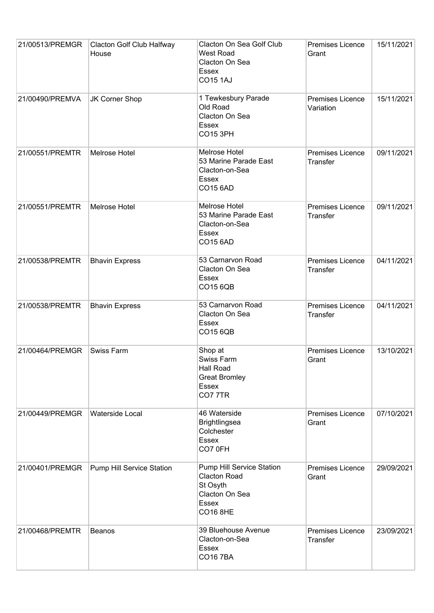| 21/00513/PREMGR | Clacton Golf Club Halfway<br>House | Clacton On Sea Golf Club<br><b>West Road</b><br>Clacton On Sea<br>Essex<br><b>CO15 1AJ</b>                 | Premises Licence<br>Grant           | 15/11/2021 |
|-----------------|------------------------------------|------------------------------------------------------------------------------------------------------------|-------------------------------------|------------|
| 21/00490/PREMVA | JK Corner Shop                     | 1 Tewkesbury Parade<br>Old Road<br>Clacton On Sea<br>Essex<br><b>CO15 3PH</b>                              | Premises Licence<br>Variation       | 15/11/2021 |
| 21/00551/PREMTR | Melrose Hotel                      | Melrose Hotel<br>53 Marine Parade East<br>Clacton-on-Sea<br>Essex<br><b>CO15 6AD</b>                       | Premises Licence<br>Transfer        | 09/11/2021 |
| 21/00551/PREMTR | Melrose Hotel                      | <b>Melrose Hotel</b><br>53 Marine Parade East<br>Clacton-on-Sea<br>Essex<br><b>CO15 6AD</b>                | Premises Licence<br><b>Transfer</b> | 09/11/2021 |
| 21/00538/PREMTR | <b>Bhavin Express</b>              | 53 Carnarvon Road<br>Clacton On Sea<br>Essex<br>CO15 6QB                                                   | Premises Licence<br>Transfer        | 04/11/2021 |
| 21/00538/PREMTR | <b>Bhavin Express</b>              | 53 Carnarvon Road<br>Clacton On Sea<br>Essex<br>CO15 6QB                                                   | Premises Licence<br>Transfer        | 04/11/2021 |
| 21/00464/PREMGR | <b>Swiss Farm</b>                  | Shop at<br>Swiss Farm<br><b>Hall Road</b><br><b>Great Bromley</b><br>Essex<br><b>CO7 7TR</b>               | Premises Licence<br>Grant           | 13/10/2021 |
| 21/00449/PREMGR | Waterside Local                    | 46 Waterside<br>Brightlingsea<br>Colchester<br>Essex<br>CO7 0FH                                            | <b>Premises Licence</b><br>Grant    | 07/10/2021 |
| 21/00401/PREMGR | Pump Hill Service Station          | Pump Hill Service Station<br><b>Clacton Road</b><br>St Osyth<br>Clacton On Sea<br>Essex<br><b>CO16 8HE</b> | Premises Licence<br>Grant           | 29/09/2021 |
| 21/00468/PREMTR | <b>Beanos</b>                      | 39 Bluehouse Avenue<br>Clacton-on-Sea<br>Essex<br><b>CO16 7BA</b>                                          | <b>Premises Licence</b><br>Transfer | 23/09/2021 |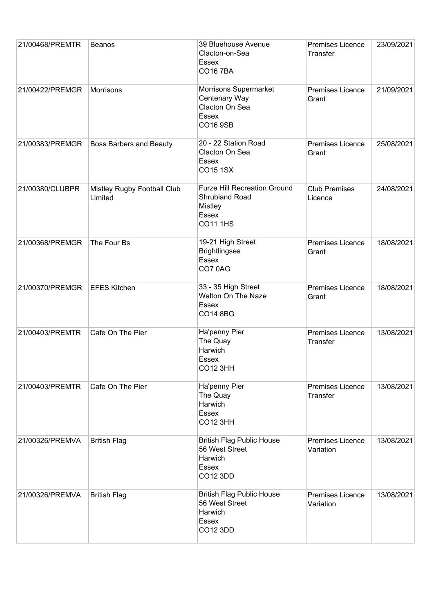| 21/00468/PREMTR | <b>Beanos</b>                          | 39 Bluehouse Avenue<br>Clacton-on-Sea<br>Essex<br><b>CO167BA</b>                                    | Premises Licence<br>Transfer         | 23/09/2021 |
|-----------------|----------------------------------------|-----------------------------------------------------------------------------------------------------|--------------------------------------|------------|
| 21/00422/PREMGR | Morrisons                              | Morrisons Supermarket<br>Centenary Way<br>Clacton On Sea<br>Essex<br>CO16 9SB                       | Premises Licence<br>Grant            | 21/09/2021 |
| 21/00383/PREMGR | <b>Boss Barbers and Beauty</b>         | 20 - 22 Station Road<br>Clacton On Sea<br>Essex<br>CO15 1SX                                         | Premises Licence<br>Grant            | 25/08/2021 |
| 21/00380/CLUBPR | Mistley Rugby Football Club<br>Limited | <b>Furze Hill Recreation Ground</b><br>Shrubland Road<br><b>Mistley</b><br>Essex<br><b>CO11 1HS</b> | <b>Club Premises</b><br>Licence      | 24/08/2021 |
| 21/00368/PREMGR | The Four Bs                            | 19-21 High Street<br><b>Brightlingsea</b><br><b>Essex</b><br>CO70AG                                 | Premises Licence<br>Grant            | 18/08/2021 |
| 21/00370/PREMGR | <b>EFES Kitchen</b>                    | 33 - 35 High Street<br>Walton On The Naze<br>Essex<br>CO14 8BG                                      | Premises Licence<br>Grant            | 18/08/2021 |
| 21/00403/PREMTR | Cafe On The Pier                       | Ha'penny Pier<br>The Quay<br>Harwich<br>Essex<br><b>CO12 3HH</b>                                    | Premises Licence<br>Transfer         | 13/08/2021 |
| 21/00403/PREMTR | Cafe On The Pier                       | Ha'penny Pier<br>The Quay<br>Harwich<br>Essex<br><b>CO12 3HH</b>                                    | <b>Premises Licence</b><br>Transfer  | 13/08/2021 |
| 21/00326/PREMVA | <b>British Flag</b>                    | <b>British Flag Public House</b><br>56 West Street<br>Harwich<br>Essex<br>CO12 3DD                  | Premises Licence<br>Variation        | 13/08/2021 |
| 21/00326/PREMVA | <b>British Flag</b>                    | <b>British Flag Public House</b><br>56 West Street<br>Harwich<br>Essex<br>CO12 3DD                  | <b>Premises Licence</b><br>Variation | 13/08/2021 |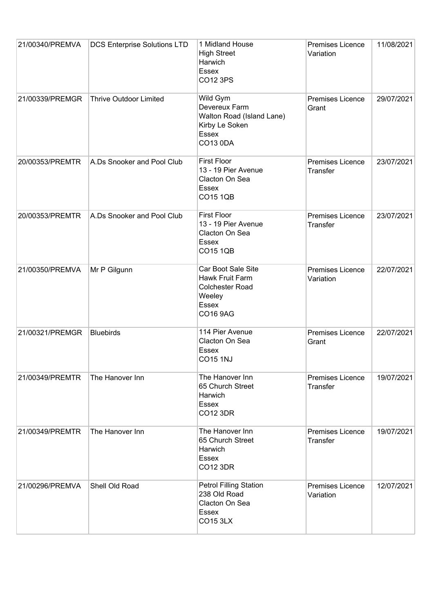| 21/00340/PREMVA | <b>DCS Enterprise Solutions LTD</b> | 1 Midland House<br><b>High Street</b><br>Harwich<br><b>Essex</b><br>CO12 3PS                         | <b>Premises Licence</b><br>Variation       | 11/08/2021 |
|-----------------|-------------------------------------|------------------------------------------------------------------------------------------------------|--------------------------------------------|------------|
| 21/00339/PREMGR | <b>Thrive Outdoor Limited</b>       | Wild Gym<br>Devereux Farm<br>Walton Road (Island Lane)<br>Kirby Le Soken<br>Essex<br><b>CO13 0DA</b> | Premises Licence<br>Grant                  | 29/07/2021 |
| 20/00353/PREMTR | A.Ds Snooker and Pool Club          | <b>First Floor</b><br>13 - 19 Pier Avenue<br>Clacton On Sea<br><b>Essex</b><br><b>CO15 1QB</b>       | Premises Licence<br>Transfer               | 23/07/2021 |
| 20/00353/PREMTR | A.Ds Snooker and Pool Club          | <b>First Floor</b><br>13 - 19 Pier Avenue<br>Clacton On Sea<br><b>Essex</b><br><b>CO15 1QB</b>       | Premises Licence<br><b>Transfer</b>        | 23/07/2021 |
| 21/00350/PREMVA | Mr P Gilgunn                        | Car Boot Sale Site<br>Hawk Fruit Farm<br><b>Colchester Road</b><br>Weeley<br>Essex<br>CO16 9AG       | <b>Premises Licence</b><br>Variation       | 22/07/2021 |
| 21/00321/PREMGR | <b>Bluebirds</b>                    | 114 Pier Avenue<br>Clacton On Sea<br>Essex<br><b>CO15 1NJ</b>                                        | Premises Licence<br>Grant                  | 22/07/2021 |
| 21/00349/PREMTR | The Hanover Inn                     | The Hanover Inn<br>65 Church Street<br>Harwich<br><b>Essex</b><br><b>CO12 3DR</b>                    | <b>Premises Licence</b><br><b>Transfer</b> | 19/07/2021 |
| 21/00349/PREMTR | The Hanover Inn                     | The Hanover Inn<br>65 Church Street<br>Harwich<br>Essex<br>CO12 3DR                                  | <b>Premises Licence</b><br>Transfer        | 19/07/2021 |
| 21/00296/PREMVA | Shell Old Road                      | <b>Petrol Filling Station</b><br>238 Old Road<br>Clacton On Sea<br>Essex<br><b>CO15 3LX</b>          | <b>Premises Licence</b><br>Variation       | 12/07/2021 |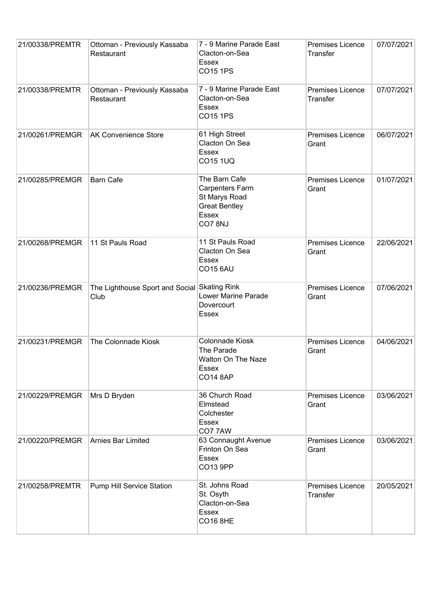| 21/00338/PREMTR | Ottoman - Previously Kassaba<br>Restaurant | 7 - 9 Marine Parade East<br>Clacton-on-Sea<br>Essex<br><b>CO15 1PS</b>                              | Premises Licence<br>Transfer        | 07/07/2021 |
|-----------------|--------------------------------------------|-----------------------------------------------------------------------------------------------------|-------------------------------------|------------|
| 21/00338/PREMTR | Ottoman - Previously Kassaba<br>Restaurant | 7 - 9 Marine Parade East<br>Clacton-on-Sea<br>Essex<br><b>CO15 1PS</b>                              | Premises Licence<br>Transfer        | 07/07/2021 |
| 21/00261/PREMGR | <b>AK Convenience Store</b>                | 61 High Street<br>Clacton On Sea<br>Essex<br><b>CO15 1UQ</b>                                        | Premises Licence<br>Grant           | 06/07/2021 |
| 21/00285/PREMGR | <b>Barn Cafe</b>                           | The Barn Cafe<br>Carpenters Farm<br>St Marys Road<br><b>Great Bentley</b><br><b>Essex</b><br>CO78NJ | Premises Licence<br>Grant           | 01/07/2021 |
| 21/00268/PREMGR | 11 St Pauls Road                           | 11 St Pauls Road<br>Clacton On Sea<br><b>Essex</b><br><b>CO15 6AU</b>                               | Premises Licence<br>Grant           | 22/06/2021 |
| 21/00236/PREMGR | The Lighthouse Sport and Social<br>Club    | <b>Skating Rink</b><br>Lower Marine Parade<br>Dovercourt<br>Essex                                   | Premises Licence<br>Grant           | 07/06/2021 |
| 21/00231/PREMGR | The Colonnade Kiosk                        | Colonnade Kiosk<br>The Parade<br><b>Walton On The Naze</b><br>Essex<br><b>CO14 8AP</b>              | Premises Licence<br>Grant           | 04/06/2021 |
| 21/00229/PREMGR | Mrs D Bryden                               | 36 Church Road<br>Elmstead<br>Colchester<br><b>Essex</b><br>CO77AW                                  | <b>Premises Licence</b><br>Grant    | 03/06/2021 |
| 21/00220/PREMGR | Arnies Bar Limited                         | 63 Connaught Avenue<br>Frinton On Sea<br>Essex<br>CO13 9PP                                          | <b>Premises Licence</b><br>Grant    | 03/06/2021 |
| 21/00258/PREMTR | Pump Hill Service Station                  | St. Johns Road<br>St. Osyth<br>Clacton-on-Sea<br><b>Essex</b><br><b>CO16 8HE</b>                    | <b>Premises Licence</b><br>Transfer | 20/05/2021 |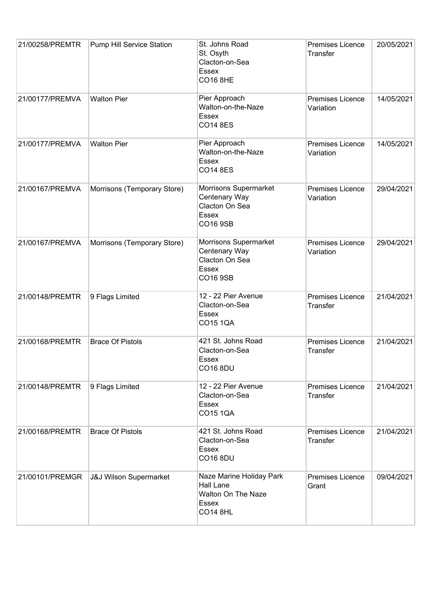| 21/00258/PREMTR | Pump Hill Service Station         | St. Johns Road<br>St. Osyth<br>Clacton-on-Sea<br>Essex<br><b>CO16 8HE</b>               | Premises Licence<br><b>Transfer</b> | 20/05/2021 |
|-----------------|-----------------------------------|-----------------------------------------------------------------------------------------|-------------------------------------|------------|
| 21/00177/PREMVA | <b>Walton Pier</b>                | Pier Approach<br>Walton-on-the-Naze<br>Essex<br><b>CO14 8ES</b>                         | Premises Licence<br>Variation       | 14/05/2021 |
| 21/00177/PREMVA | <b>Walton Pier</b>                | Pier Approach<br>Walton-on-the-Naze<br>Essex<br><b>CO14 8ES</b>                         | Premises Licence<br>Variation       | 14/05/2021 |
| 21/00167/PREMVA | Morrisons (Temporary Store)       | Morrisons Supermarket<br>Centenary Way<br>Clacton On Sea<br>Essex<br><b>CO16 9SB</b>    | Premises Licence<br>Variation       | 29/04/2021 |
| 21/00167/PREMVA | Morrisons (Temporary Store)       | Morrisons Supermarket<br>Centenary Way<br>Clacton On Sea<br>Essex<br>CO16 9SB           | Premises Licence<br>Variation       | 29/04/2021 |
| 21/00148/PREMTR | 9 Flags Limited                   | 12 - 22 Pier Avenue<br>Clacton-on-Sea<br>Essex<br><b>CO15 1QA</b>                       | Premises Licence<br>Transfer        | 21/04/2021 |
| 21/00168/PREMTR | <b>Brace Of Pistols</b>           | 421 St. Johns Road<br>Clacton-on-Sea<br>Essex<br><b>CO16 8DU</b>                        | Premises Licence<br>Transfer        | 21/04/2021 |
| 21/00148/PREMTR | 9 Flags Limited                   | 12 - 22 Pier Avenue<br>Clacton-on-Sea<br>Essex<br><b>CO15 1QA</b>                       | Premises Licence<br>Transfer        | 21/04/2021 |
| 21/00168/PREMTR | <b>Brace Of Pistols</b>           | 421 St. Johns Road<br>Clacton-on-Sea<br>Essex<br><b>CO16 8DU</b>                        | Premises Licence<br>Transfer        | 21/04/2021 |
| 21/00101/PREMGR | <b>J&amp;J Wilson Supermarket</b> | Naze Marine Holiday Park<br>Hall Lane<br>Walton On The Naze<br>Essex<br><b>CO14 8HL</b> | <b>Premises Licence</b><br>Grant    | 09/04/2021 |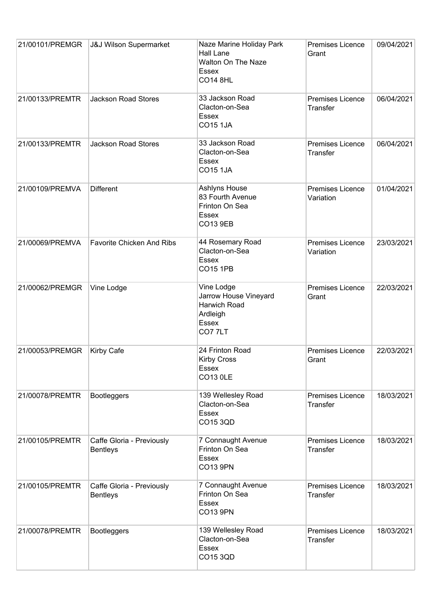| 21/00101/PREMGR | <b>J&amp;J Wilson Supermarket</b>            | Naze Marine Holiday Park<br><b>Hall Lane</b><br>Walton On The Naze<br>Essex<br><b>CO14 8HL</b> | <b>Premises Licence</b><br>Grant           | 09/04/2021 |
|-----------------|----------------------------------------------|------------------------------------------------------------------------------------------------|--------------------------------------------|------------|
| 21/00133/PREMTR | <b>Jackson Road Stores</b>                   | 33 Jackson Road<br>Clacton-on-Sea<br>Essex<br><b>CO15 1JA</b>                                  | Premises Licence<br><b>Transfer</b>        | 06/04/2021 |
| 21/00133/PREMTR | <b>Jackson Road Stores</b>                   | 33 Jackson Road<br>Clacton-on-Sea<br>Essex<br><b>CO15 1JA</b>                                  | Premises Licence<br><b>Transfer</b>        | 06/04/2021 |
| 21/00109/PREMVA | <b>Different</b>                             | Ashlyns House<br>83 Fourth Avenue<br>Frinton On Sea<br><b>Essex</b><br><b>CO13 9EB</b>         | Premises Licence<br>Variation              | 01/04/2021 |
| 21/00069/PREMVA | <b>Favorite Chicken And Ribs</b>             | 44 Rosemary Road<br>Clacton-on-Sea<br>Essex<br><b>CO15 1PB</b>                                 | Premises Licence<br>Variation              | 23/03/2021 |
| 21/00062/PREMGR | Vine Lodge                                   | Vine Lodge<br>Jarrow House Vineyard<br>Harwich Road<br>Ardleigh<br><b>Essex</b><br>CO77LT      | Premises Licence<br>Grant                  | 22/03/2021 |
| 21/00053/PREMGR | Kirby Cafe                                   | 24 Frinton Road<br><b>Kirby Cross</b><br>Essex<br><b>CO13 OLE</b>                              | Premises Licence<br>Grant                  | 22/03/2021 |
| 21/00078/PREMTR | <b>Bootleggers</b>                           | 139 Wellesley Road<br>Clacton-on-Sea<br>Essex<br>CO15 3QD                                      | Premises Licence<br><b>Transfer</b>        | 18/03/2021 |
| 21/00105/PREMTR | Caffe Gloria - Previously<br><b>Bentleys</b> | 7 Connaught Avenue<br>Frinton On Sea<br>Essex<br>CO13 9PN                                      | Premises Licence<br><b>Transfer</b>        | 18/03/2021 |
| 21/00105/PREMTR | Caffe Gloria - Previously<br><b>Bentleys</b> | 7 Connaught Avenue<br>Frinton On Sea<br>Essex<br><b>CO13 9PN</b>                               | <b>Premises Licence</b><br><b>Transfer</b> | 18/03/2021 |
| 21/00078/PREMTR | <b>Bootleggers</b>                           | 139 Wellesley Road<br>Clacton-on-Sea<br>Essex<br>CO15 3QD                                      | Premises Licence<br>Transfer               | 18/03/2021 |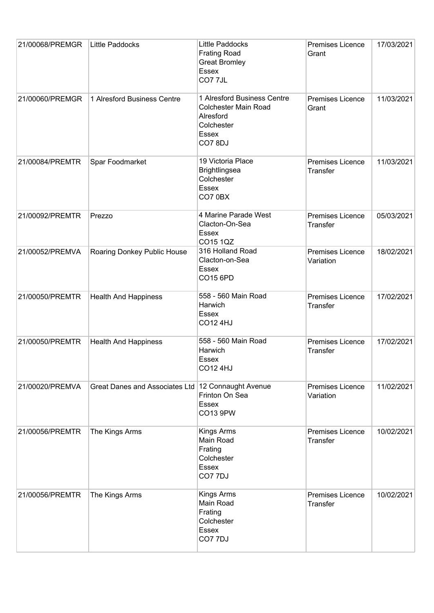| 21/00068/PREMGR | Little Paddocks                | Little Paddocks<br><b>Frating Road</b><br><b>Great Bromley</b><br>Essex<br>CO7 7JL                       | Premises Licence<br>Grant           | 17/03/2021 |
|-----------------|--------------------------------|----------------------------------------------------------------------------------------------------------|-------------------------------------|------------|
| 21/00060/PREMGR | 1 Alresford Business Centre    | 1 Alresford Business Centre<br><b>Colchester Main Road</b><br>Alresford<br>Colchester<br>Essex<br>CO78DJ | Premises Licence<br>Grant           | 11/03/2021 |
| 21/00084/PREMTR | Spar Foodmarket                | 19 Victoria Place<br><b>Brightlingsea</b><br>Colchester<br>Essex<br>CO7 0BX                              | Premises Licence<br><b>Transfer</b> | 11/03/2021 |
| 21/00092/PREMTR | Prezzo                         | 4 Marine Parade West<br>Clacton-On-Sea<br><b>Essex</b><br>CO15 1QZ                                       | Premises Licence<br><b>Transfer</b> | 05/03/2021 |
| 21/00052/PREMVA | Roaring Donkey Public House    | 316 Holland Road<br>Clacton-on-Sea<br>Essex<br>CO15 6PD                                                  | Premises Licence<br>Variation       | 18/02/2021 |
| 21/00050/PREMTR | <b>Health And Happiness</b>    | 558 - 560 Main Road<br>Harwich<br>Essex<br><b>CO12 4HJ</b>                                               | Premises Licence<br>Transfer        | 17/02/2021 |
| 21/00050/PREMTR | <b>Health And Happiness</b>    | 558 - 560 Main Road<br>Harwich<br>Essex<br><b>CO12 4HJ</b>                                               | Premises Licence<br>Transfer        | 17/02/2021 |
| 21/00020/PREMVA | Great Danes and Associates Ltd | 12 Connaught Avenue<br>Frinton On Sea<br>Essex<br>CO13 9PW                                               | Premises Licence<br>Variation       | 11/02/2021 |
| 21/00056/PREMTR | The Kings Arms                 | Kings Arms<br>Main Road<br>Frating<br>Colchester<br>Essex<br>CO7 7DJ                                     | Premises Licence<br>Transfer        | 10/02/2021 |
| 21/00056/PREMTR | The Kings Arms                 | Kings Arms<br>Main Road<br>Frating<br>Colchester<br>Essex<br>CO77DJ                                      | Premises Licence<br><b>Transfer</b> | 10/02/2021 |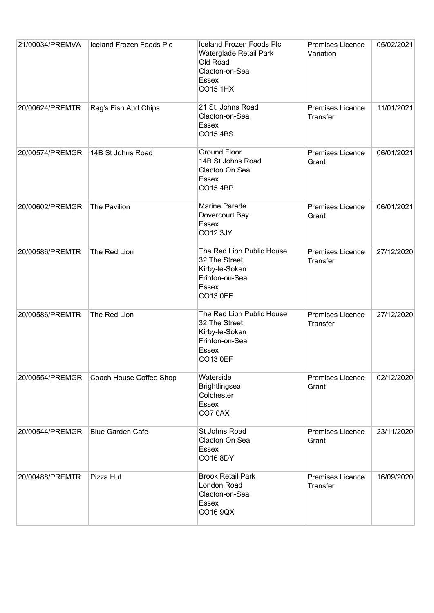| 21/00034/PREMVA | Iceland Frozen Foods Plc | Iceland Frozen Foods PIc<br>Waterglade Retail Park<br>Old Road<br>Clacton-on-Sea<br><b>Essex</b><br><b>CO15 1HX</b> | <b>Premises Licence</b><br>Variation       | 05/02/2021 |
|-----------------|--------------------------|---------------------------------------------------------------------------------------------------------------------|--------------------------------------------|------------|
| 20/00624/PREMTR | Reg's Fish And Chips     | 21 St. Johns Road<br>Clacton-on-Sea<br>Essex<br><b>CO154BS</b>                                                      | Premises Licence<br><b>Transfer</b>        | 11/01/2021 |
| 20/00574/PREMGR | 14B St Johns Road        | <b>Ground Floor</b><br>14B St Johns Road<br>Clacton On Sea<br><b>Essex</b><br><b>CO15 4BP</b>                       | Premises Licence<br>Grant                  | 06/01/2021 |
| 20/00602/PREMGR | The Pavilion             | Marine Parade<br>Dovercourt Bay<br><b>Essex</b><br><b>CO12 3JY</b>                                                  | Premises Licence<br>Grant                  | 06/01/2021 |
| 20/00586/PREMTR | The Red Lion             | The Red Lion Public House<br>32 The Street<br>Kirby-le-Soken<br>Frinton-on-Sea<br>Essex<br><b>CO13 0EF</b>          | Premises Licence<br><b>Transfer</b>        | 27/12/2020 |
| 20/00586/PREMTR | The Red Lion             | The Red Lion Public House<br>32 The Street<br>Kirby-le-Soken<br>Frinton-on-Sea<br>Essex<br><b>CO13 0EF</b>          | Premises Licence<br><b>Transfer</b>        | 27/12/2020 |
| 20/00554/PREMGR | Coach House Coffee Shop  | Waterside<br><b>Brightlingsea</b><br>Colchester<br><b>Essex</b><br>CO70AX                                           | <b>Premises Licence</b><br>Grant           | 02/12/2020 |
| 20/00544/PREMGR | <b>Blue Garden Cafe</b>  | St Johns Road<br>Clacton On Sea<br><b>Essex</b><br>CO16 8DY                                                         | <b>Premises Licence</b><br>Grant           | 23/11/2020 |
| 20/00488/PREMTR | Pizza Hut                | <b>Brook Retail Park</b><br>London Road<br>Clacton-on-Sea<br><b>Essex</b><br>CO16 9QX                               | <b>Premises Licence</b><br><b>Transfer</b> | 16/09/2020 |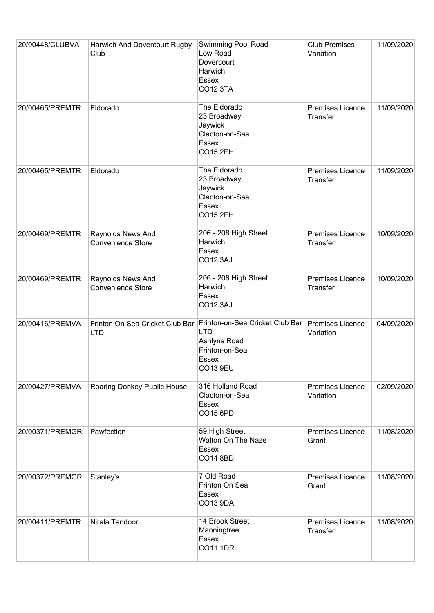| 20/00448/CLUBVA | Harwich And Dovercourt Rugby<br>Club          | Swimming Pool Road<br>Low Road<br>Dovercourt<br>Harwich<br>Essex<br><b>CO12 3TA</b>                  | <b>Club Premises</b><br>Variation    | 11/09/2020 |
|-----------------|-----------------------------------------------|------------------------------------------------------------------------------------------------------|--------------------------------------|------------|
| 20/00465/PREMTR | Eldorado                                      | The Eldorado<br>23 Broadway<br>Jaywick<br>Clacton-on-Sea<br>Essex<br><b>CO15 2EH</b>                 | Premises Licence<br>Transfer         | 11/09/2020 |
| 20/00465/PREMTR | Eldorado                                      | The Eldorado<br>23 Broadway<br>Jaywick<br>Clacton-on-Sea<br>Essex<br><b>CO15 2EH</b>                 | Premises Licence<br>Transfer         | 11/09/2020 |
| 20/00469/PREMTR | Reynolds News And<br>Convenience Store        | 206 - 208 High Street<br>Harwich<br>Essex<br><b>CO12 3AJ</b>                                         | Premises Licence<br>Transfer         | 10/09/2020 |
| 20/00469/PREMTR | Reynolds News And<br><b>Convenience Store</b> | 206 - 208 High Street<br>Harwich<br>Essex<br><b>CO12 3AJ</b>                                         | Premises Licence<br><b>Transfer</b>  | 10/09/2020 |
| 20/00416/PREMVA | Frinton On Sea Cricket Club Bar<br><b>LTD</b> | Frinton-on-Sea Cricket Club Bar<br><b>LTD</b><br>Ashlyns Road<br>Frinton-on-Sea<br>Essex<br>CO13 9EU | Premises Licence<br>Variation        | 04/09/2020 |
| 20/00427/PREMVA | Roaring Donkey Public House                   | 316 Holland Road<br>Clacton-on-Sea<br>Essex<br>CO15 6PD                                              | <b>Premises Licence</b><br>Variation | 02/09/2020 |
| 20/00371/PREMGR | Pawfection                                    | 59 High Street<br><b>Walton On The Naze</b><br><b>Essex</b><br><b>CO14 8BD</b>                       | <b>Premises Licence</b><br>Grant     | 11/08/2020 |
| 20/00372/PREMGR | Stanley's                                     | 7 Old Road<br>Frinton On Sea<br>Essex<br>CO13 9DA                                                    | <b>Premises Licence</b><br>Grant     | 11/08/2020 |
| 20/00411/PREMTR | Nirala Tandoori                               | 14 Brook Street<br>Manningtree<br>Essex<br><b>CO11 1DR</b>                                           | <b>Premises Licence</b><br>Transfer  | 11/08/2020 |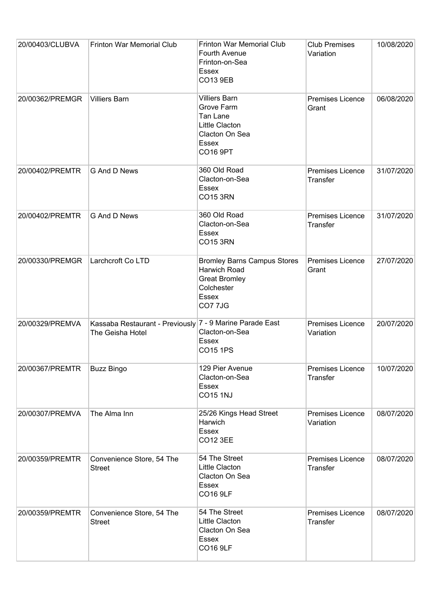| 20/00403/CLUBVA | Frinton War Memorial Club                                                    | Frinton War Memorial Club<br>Fourth Avenue<br>Frinton-on-Sea<br>Essex<br><b>CO13 9EB</b>                       | <b>Club Premises</b><br>Variation          | 10/08/2020 |
|-----------------|------------------------------------------------------------------------------|----------------------------------------------------------------------------------------------------------------|--------------------------------------------|------------|
| 20/00362/PREMGR | <b>Villiers Barn</b>                                                         | <b>Villiers Barn</b><br>Grove Farm<br>Tan Lane<br>Little Clacton<br>Clacton On Sea<br>Essex<br><b>CO16 9PT</b> | Premises Licence<br>Grant                  | 06/08/2020 |
| 20/00402/PREMTR | G And D News                                                                 | 360 Old Road<br>Clacton-on-Sea<br><b>Essex</b><br><b>CO15 3RN</b>                                              | <b>Premises Licence</b><br><b>Transfer</b> | 31/07/2020 |
| 20/00402/PREMTR | G And D News                                                                 | 360 Old Road<br>Clacton-on-Sea<br>Essex<br><b>CO15 3RN</b>                                                     | Premises Licence<br><b>Transfer</b>        | 31/07/2020 |
| 20/00330/PREMGR | Larchcroft Co LTD                                                            | <b>Bromley Barns Campus Stores</b><br>Harwich Road<br><b>Great Bromley</b><br>Colchester<br>Essex<br>CO77JG    | Premises Licence<br>Grant                  | 27/07/2020 |
| 20/00329/PREMVA | Kassaba Restaurant - Previously 7 - 9 Marine Parade East<br>The Geisha Hotel | Clacton-on-Sea<br>Essex<br>CO15 1PS                                                                            | Premises Licence<br>Variation              | 20/07/2020 |
| 20/00367/PREMTR | <b>Buzz Bingo</b>                                                            | 129 Pier Avenue<br>Clacton-on-Sea<br>Essex<br><b>CO15 1NJ</b>                                                  | Premises Licence<br>Transfer               | 10/07/2020 |
| 20/00307/PREMVA | The Alma Inn                                                                 | 25/26 Kings Head Street<br>Harwich<br>Essex<br><b>CO12 3EE</b>                                                 | Premises Licence<br>Variation              | 08/07/2020 |
| 20/00359/PREMTR | Convenience Store, 54 The<br><b>Street</b>                                   | 54 The Street<br>Little Clacton<br>Clacton On Sea<br><b>Essex</b><br><b>CO16 9LF</b>                           | <b>Premises Licence</b><br><b>Transfer</b> | 08/07/2020 |
| 20/00359/PREMTR | Convenience Store, 54 The<br><b>Street</b>                                   | 54 The Street<br>Little Clacton<br>Clacton On Sea<br>Essex<br><b>CO16 9LF</b>                                  | <b>Premises Licence</b><br>Transfer        | 08/07/2020 |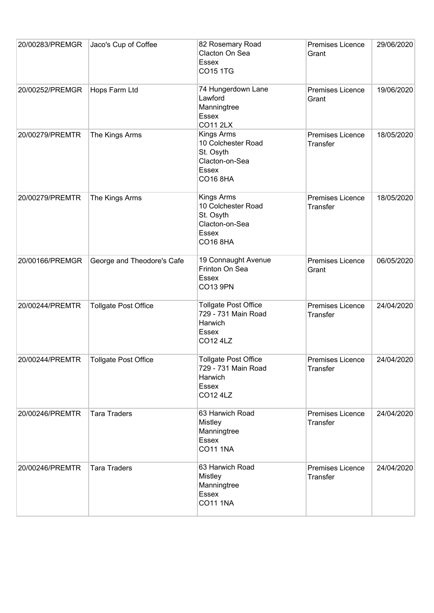| 20/00283/PREMGR | Jaco's Cup of Coffee        | 82 Rosemary Road<br>Clacton On Sea<br><b>Essex</b><br><b>CO15 1TG</b>                              | <b>Premises Licence</b><br>Grant           | 29/06/2020 |
|-----------------|-----------------------------|----------------------------------------------------------------------------------------------------|--------------------------------------------|------------|
| 20/00252/PREMGR | Hops Farm Ltd               | 74 Hungerdown Lane<br>Lawford<br>Manningtree<br><b>Essex</b><br><b>CO11 2LX</b>                    | Premises Licence<br>Grant                  | 19/06/2020 |
| 20/00279/PREMTR | The Kings Arms              | Kings Arms<br>10 Colchester Road<br>St. Osyth<br>Clacton-on-Sea<br><b>Essex</b><br><b>CO16 8HA</b> | Premises Licence<br>Transfer               | 18/05/2020 |
| 20/00279/PREMTR | The Kings Arms              | Kings Arms<br>10 Colchester Road<br>St. Osyth<br>Clacton-on-Sea<br><b>Essex</b><br><b>CO16 8HA</b> | Premises Licence<br>Transfer               | 18/05/2020 |
| 20/00166/PREMGR | George and Theodore's Cafe  | 19 Connaught Avenue<br>Frinton On Sea<br><b>Essex</b><br>CO13 9PN                                  | Premises Licence<br>Grant                  | 06/05/2020 |
| 20/00244/PREMTR | <b>Tollgate Post Office</b> | <b>Tollgate Post Office</b><br>729 - 731 Main Road<br>Harwich<br><b>Essex</b><br>CO12 4LZ          | Premises Licence<br>Transfer               | 24/04/2020 |
| 20/00244/PREMTR | <b>Tollgate Post Office</b> | <b>Tollgate Post Office</b><br>729 - 731 Main Road<br>Harwich<br><b>Essex</b><br>CO12 4LZ          | <b>Premises Licence</b><br><b>Transfer</b> | 24/04/2020 |
| 20/00246/PREMTR | <b>Tara Traders</b>         | 63 Harwich Road<br><b>Mistley</b><br>Manningtree<br>Essex<br><b>CO11 1NA</b>                       | <b>Premises Licence</b><br>Transfer        | 24/04/2020 |
| 20/00246/PREMTR | <b>Tara Traders</b>         | 63 Harwich Road<br><b>Mistley</b><br>Manningtree<br>Essex<br><b>CO11 1NA</b>                       | <b>Premises Licence</b><br>Transfer        | 24/04/2020 |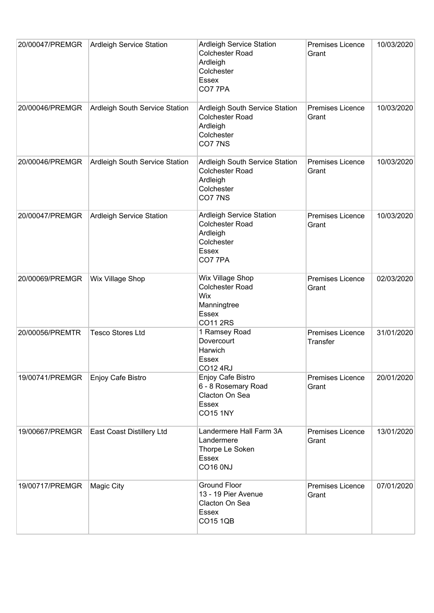| 20/00047/PREMGR | <b>Ardleigh Service Station</b>  | <b>Ardleigh Service Station</b><br><b>Colchester Road</b><br>Ardleigh<br>Colchester<br><b>Essex</b><br>CO77PA  | <b>Premises Licence</b><br>Grant    | 10/03/2020 |
|-----------------|----------------------------------|----------------------------------------------------------------------------------------------------------------|-------------------------------------|------------|
| 20/00046/PREMGR | Ardleigh South Service Station   | Ardleigh South Service Station<br><b>Colchester Road</b><br>Ardleigh<br>Colchester<br>CO77NS                   | <b>Premises Licence</b><br>Grant    | 10/03/2020 |
| 20/00046/PREMGR | Ardleigh South Service Station   | Ardleigh South Service Station<br><b>Colchester Road</b><br>Ardleigh<br>Colchester<br>CO77NS                   | Premises Licence<br>Grant           | 10/03/2020 |
| 20/00047/PREMGR | Ardleigh Service Station         | <b>Ardleigh Service Station</b><br><b>Colchester Road</b><br>Ardleigh<br>Colchester<br><b>Essex</b><br>CO7 7PA | <b>Premises Licence</b><br>Grant    | 10/03/2020 |
| 20/00069/PREMGR | Wix Village Shop                 | Wix Village Shop<br><b>Colchester Road</b><br>Wix<br>Manningtree<br><b>Essex</b><br>CO11 2RS                   | Premises Licence<br>Grant           | 02/03/2020 |
| 20/00056/PREMTR | <b>Tesco Stores Ltd</b>          | 1 Ramsey Road<br>Dovercourt<br>Harwich<br>Essex<br><b>CO12 4RJ</b>                                             | Premises Licence<br><b>Transfer</b> | 31/01/2020 |
| 19/00741/PREMGR | Enjoy Cafe Bistro                | Enjoy Cafe Bistro<br>6 - 8 Rosemary Road<br>Clacton On Sea<br><b>Essex</b><br><b>CO15 1NY</b>                  | <b>Premises Licence</b><br>Grant    | 20/01/2020 |
| 19/00667/PREMGR | <b>East Coast Distillery Ltd</b> | Landermere Hall Farm 3A<br>Landermere<br>Thorpe Le Soken<br>Essex<br><b>CO16 0NJ</b>                           | Premises Licence<br>Grant           | 13/01/2020 |
| 19/00717/PREMGR | <b>Magic City</b>                | <b>Ground Floor</b><br>13 - 19 Pier Avenue<br>Clacton On Sea<br><b>Essex</b><br><b>CO15 1QB</b>                | <b>Premises Licence</b><br>Grant    | 07/01/2020 |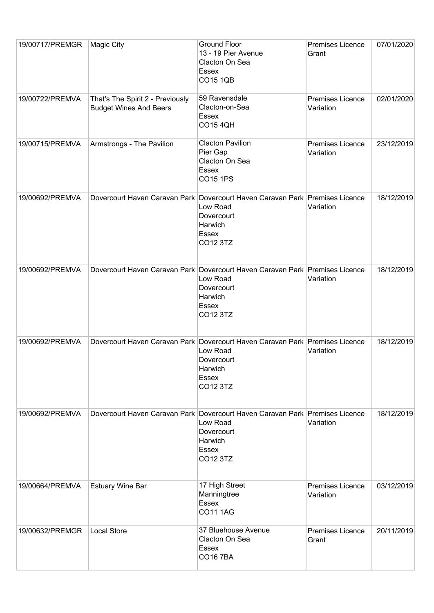| 19/00717/PREMGR | <b>Magic City</b>                                                 | <b>Ground Floor</b><br>13 - 19 Pier Avenue<br>Clacton On Sea<br><b>Essex</b><br><b>CO15 1QB</b>                                               | <b>Premises Licence</b><br>Grant | 07/01/2020 |
|-----------------|-------------------------------------------------------------------|-----------------------------------------------------------------------------------------------------------------------------------------------|----------------------------------|------------|
| 19/00722/PREMVA | That's The Spirit 2 - Previously<br><b>Budget Wines And Beers</b> | 59 Ravensdale<br>Clacton-on-Sea<br><b>Essex</b><br><b>CO15 4QH</b>                                                                            | Premises Licence<br>Variation    | 02/01/2020 |
| 19/00715/PREMVA | Armstrongs - The Pavilion                                         | <b>Clacton Pavilion</b><br>Pier Gap<br>Clacton On Sea<br><b>Essex</b><br><b>CO15 1PS</b>                                                      | Premises Licence<br>Variation    | 23/12/2019 |
| 19/00692/PREMVA |                                                                   | Dovercourt Haven Caravan Park Dovercourt Haven Caravan Park Premises Licence<br>Low Road<br>Dovercourt<br>Harwich<br>Essex<br>CO12 3TZ        | Variation                        | 18/12/2019 |
| 19/00692/PREMVA |                                                                   | Dovercourt Haven Caravan Park Dovercourt Haven Caravan Park Premises Licence<br>Low Road<br>Dovercourt<br>Harwich<br><b>Essex</b><br>CO12 3TZ | Variation                        | 18/12/2019 |
| 19/00692/PREMVA |                                                                   | Dovercourt Haven Caravan Park Dovercourt Haven Caravan Park Premises Licence<br>Low Road<br>Dovercourt<br>Harwich<br>Essex<br>CO12 3TZ        | Variation                        | 18/12/2019 |
| 19/00692/PREMVA |                                                                   | Dovercourt Haven Caravan Park Dovercourt Haven Caravan Park Premises Licence<br>Low Road<br>Dovercourt<br>Harwich<br><b>Essex</b><br>CO12 3TZ | Variation                        | 18/12/2019 |
| 19/00664/PREMVA | <b>Estuary Wine Bar</b>                                           | 17 High Street<br>Manningtree<br><b>Essex</b><br><b>CO11 1AG</b>                                                                              | Premises Licence<br>Variation    | 03/12/2019 |
| 19/00632/PREMGR | <b>Local Store</b>                                                | 37 Bluehouse Avenue<br>Clacton On Sea<br>Essex<br><b>CO167BA</b>                                                                              | <b>Premises Licence</b><br>Grant | 20/11/2019 |